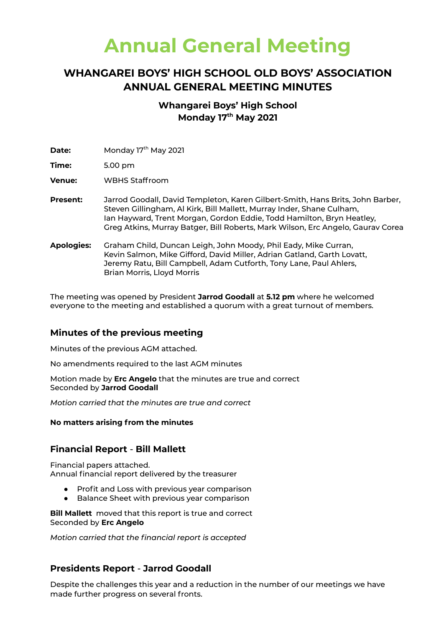# **Annual General Meeting**

# **WHANGAREI BOYS' HIGH SCHOOL OLD BOYS' ASSOCIATION ANNUAL GENERAL MEETING MINUTES**

# **Whangarei Boys' High School Monday 17 th May 2021**

**Date:** Monday 17<sup>th</sup> May 2021

**Time:** 5.00 pm

**Venue:** WBHS Staffroom

- **Present:** Jarrod Goodall, David Templeton, Karen Gilbert-Smith, Hans Brits, John Barber, Steven Gillingham, Al Kirk, Bill Mallett, Murray Inder, Shane Culham, Ian Hayward, Trent Morgan, Gordon Eddie, Todd Hamilton, Bryn Heatley, Greg Atkins, Murray Batger, Bill Roberts, Mark Wilson, Erc Angelo, Gaurav Corea
- **Apologies:** Graham Child, Duncan Leigh, John Moody, Phil Eady, Mike Curran, Kevin Salmon, Mike Gifford, David Miller, Adrian Gatland, Garth Lovatt, Jeremy Ratu, Bill Campbell, Adam Cutforth, Tony Lane, Paul Ahlers, Brian Morris, Lloyd Morris

The meeting was opened by President **Jarrod Goodall** at **5.12 pm** where he welcomed everyone to the meeting and established a quorum with a great turnout of members.

# **Minutes of the previous meeting**

Minutes of the previous AGM attached.

No amendments required to the last AGM minutes

Motion made by **Erc Angelo** that the minutes are true and correct Seconded by **Jarrod Goodall**

*Motion carried that the minutes are true and correct*

#### **No matters arising from the minutes**

### **Financial Report** - **Bill Mallett**

Financial papers attached. Annual financial report delivered by the treasurer

- Profit and Loss with previous year comparison
- Balance Sheet with previous year comparison

**Bill Mallett** moved that this report is true and correct Seconded by **Erc Angelo**

*Motion carried that the financial report is accepted*

# **Presidents Report** - **Jarrod Goodall**

Despite the challenges this year and a reduction in the number of our meetings we have made further progress on several fronts.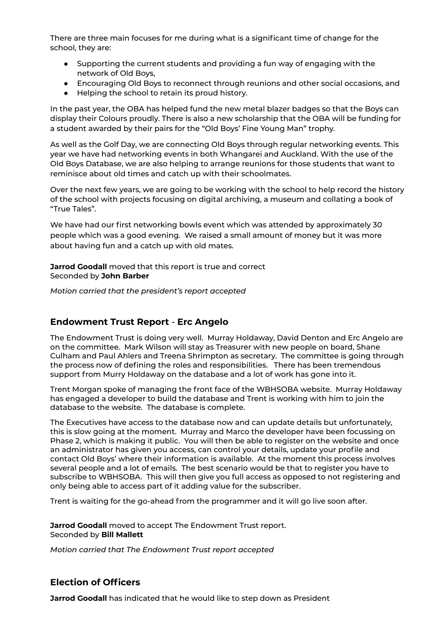There are three main focuses for me during what is a significant time of change for the school, they are:

- Supporting the current students and providing a fun way of engaging with the network of Old Boys,
- Encouraging Old Boys to reconnect through reunions and other social occasions, and
- Helping the school to retain its proud history.

In the past year, the OBA has helped fund the new metal blazer badges so that the Boys can display their Colours proudly. There is also a new scholarship that the OBA will be funding for a student awarded by their pairs for the "Old Boys' Fine Young Man" trophy.

As well as the Golf Day, we are connecting Old Boys through regular networking events. This year we have had networking events in both Whangarei and Auckland. With the use of the Old Boys Database, we are also helping to arrange reunions for those students that want to reminisce about old times and catch up with their schoolmates.

Over the next few years, we are going to be working with the school to help record the history of the school with projects focusing on digital archiving, a museum and collating a book of "True Tales".

We have had our first networking bowls event which was attended by approximately 30 people which was a good evening. We raised a small amount of money but it was more about having fun and a catch up with old mates.

**Jarrod Goodall** moved that this report is true and correct Seconded by **John Barber**

*Motion carried that the president's report accepted*

#### **Endowment Trust Report** - **Erc Angelo**

The Endowment Trust is doing very well. Murray Holdaway, David Denton and Erc Angelo are on the committee. Mark Wilson will stay as Treasurer with new people on board, Shane Culham and Paul Ahlers and Treena Shrimpton as secretary. The committee is going through the process now of defining the roles and responsibilities. There has been tremendous support from Murry Holdaway on the database and a lot of work has gone into it.

Trent Morgan spoke of managing the front face of the WBHSOBA website. Murray Holdaway has engaged a developer to build the database and Trent is working with him to join the database to the website. The database is complete.

The Executives have access to the database now and can update details but unfortunately, this is slow going at the moment. Murray and Marco the developer have been focussing on Phase 2, which is making it public. You will then be able to register on the website and once an administrator has given you access, can control your details, update your profile and contact Old Boys' where their information is available. At the moment this process involves several people and a lot of emails. The best scenario would be that to register you have to subscribe to WBHSOBA. This will then give you full access as opposed to not registering and only being able to access part of it adding value for the subscriber.

Trent is waiting for the go-ahead from the programmer and it will go live soon after.

**Jarrod Goodall** moved to accept The Endowment Trust report. Seconded by **Bill Mallett**

*Motion carried that The Endowment Trust report accepted*

#### **Election of Officers**

**Jarrod Goodall** has indicated that he would like to step down as President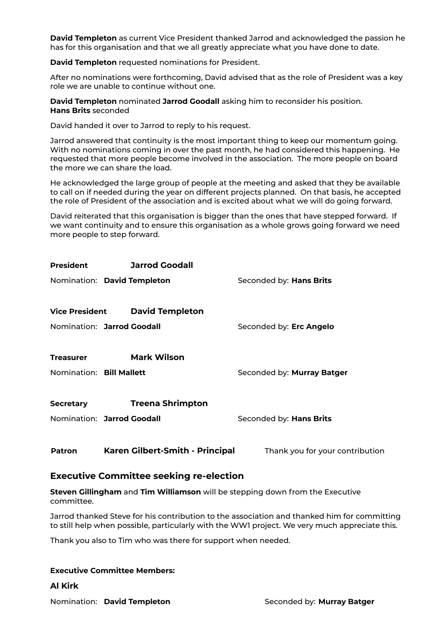**David Templeton** as current Vice President thanked Jarrod and acknowledged the passion he has for this organisation and that we all greatly appreciate what you have done to date.

**David Templeton** requested nominations for President.

After no nominations were forthcoming, David advised that as the role of President was a key role we are unable to continue without one.

**David Templeton** nominated **Jarrod Goodall** asking him to reconsider his position. **Hans Brits** seconded

David handed it over to Jarrod to reply to his request.

Jarrod answered that continuity is the most important thing to keep our momentum going. With no nominations coming in over the past month, he had considered this happening. He requested that more people become involved in the association. The more people on board the more we can share the load.

He acknowledged the large group of people at the meeting and asked that they be available to call on if needed during the year on different projects planned. On that basis, he accepted the role of President of the association and is excited about what we will do going forward.

David reiterated that this organisation is bigger than the ones that have stepped forward. If we want continuity and to ensure this organisation as a whole grows going forward we need more people to step forward.

| President                   | <b>Jarrod Goodall</b>           |                                 |
|-----------------------------|---------------------------------|---------------------------------|
| Nomination: David Templeton |                                 | Seconded by: Hans Brits         |
| <b>Vice President</b>       | <b>David Templeton</b>          |                                 |
| Nomination: Jarrod Goodall  |                                 | Seconded by: Erc Angelo         |
| <b>Treasurer</b>            | <b>Mark Wilson</b>              |                                 |
| Nomination: Bill Mallett    |                                 | Seconded by: Murray Batger      |
| <b>Secretary</b>            | <b>Treena Shrimpton</b>         |                                 |
| Nomination: Jarrod Goodall  |                                 | Seconded by: Hans Brits         |
| <b>Patron</b>               | Karen Gilbert-Smith - Principal | Thank you for your contribution |

#### **Executive Committee seeking re-election**

**Steven Gillingham** and **Tim Williamson** will be stepping down from the Executive committee.

Jarrod thanked Steve for his contribution to the association and thanked him for committing to still help when possible, particularly with the WW1 project. We very much appreciate this.

Thank you also to Tim who was there for support when needed.

#### **Executive Committee Members:**

**Al Kirk**

**Nomination: David Templeton** Seconded by: **Murray Batger**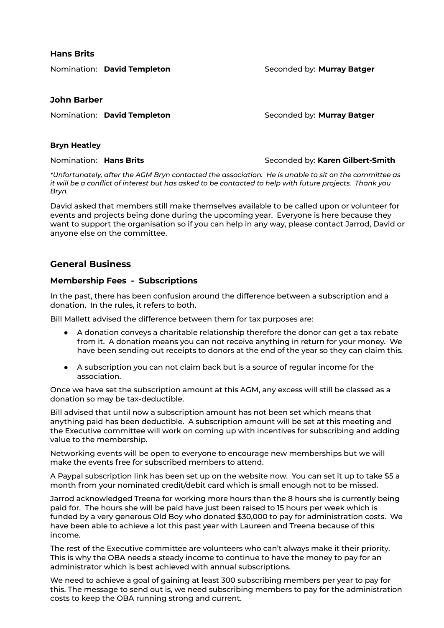#### **Hans Brits**

Nomination: **David Templeton Seconded by: Murray Batger** 

#### **John Barber**

**Nomination: David Templeton** Seconded by: **Murray Batger** 

#### **Bryn Heatley**

**Nomination: Hans Brits Seconded by: Karen Gilbert-Smith** 

*\*Unfortunately, after the AGM Bryn contacted the association. He is unable to sit on the committee as* it will be a conflict of interest but has asked to be contacted to help with future projects. Thank you *Bryn.*

David asked that members still make themselves available to be called upon or volunteer for events and projects being done during the upcoming year. Everyone is here because they want to support the organisation so if you can help in any way, please contact Jarrod, David or anyone else on the committee.

# **General Business**

#### **Membership Fees - Subscriptions**

In the past, there has been confusion around the difference between a subscription and a donation. In the rules, it refers to both.

Bill Mallett advised the difference between them for tax purposes are:

- A donation conveys a charitable relationship therefore the donor can get a tax rebate from it. A donation means you can not receive anything in return for your money. We have been sending out receipts to donors at the end of the year so they can claim this.
- A subscription you can not claim back but is a source of regular income for the association.

Once we have set the subscription amount at this AGM, any excess will still be classed as a donation so may be tax-deductible.

Bill advised that until now a subscription amount has not been set which means that anything paid has been deductible. A subscription amount will be set at this meeting and the Executive committee will work on coming up with incentives for subscribing and adding value to the membership.

Networking events will be open to everyone to encourage new memberships but we will make the events free for subscribed members to attend.

A Paypal subscription link has been set up on the website now. You can set it up to take \$5 a month from your nominated credit/debit card which is small enough not to be missed.

Jarrod acknowledged Treena for working more hours than the 8 hours she is currently being paid for. The hours she will be paid have just been raised to 15 hours per week which is funded by a very generous Old Boy who donated \$30,000 to pay for administration costs. We have been able to achieve a lot this past year with Laureen and Treena because of this income.

The rest of the Executive committee are volunteers who can't always make it their priority. This is why the OBA needs a steady income to continue to have the money to pay for an administrator which is best achieved with annual subscriptions.

We need to achieve a goal of gaining at least 300 subscribing members per year to pay for this. The message to send out is, we need subscribing members to pay for the administration costs to keep the OBA running strong and current.